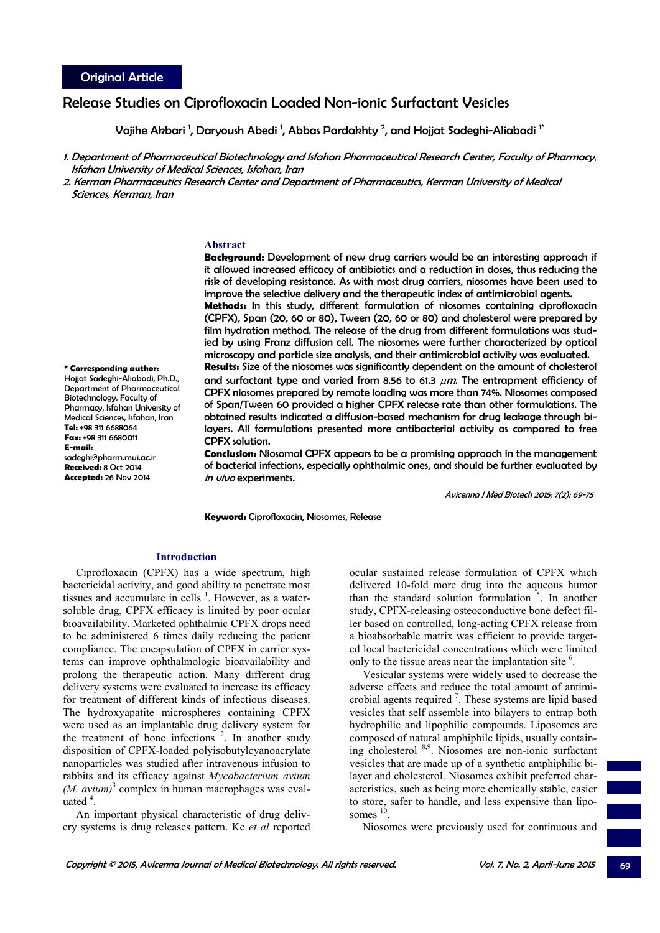# Release Studies on Ciprofloxacin Loaded Non-ionic Surfactant Vesicles

Vajihe Akbari <sup>1</sup>, Daryoush Abedi <sup>1</sup>, Abbas Pardakhty <sup>2</sup>, and Hojjat Sadeghi-Aliabadi <sup>1</sup>\*

- 1. Department of Pharmaceutical Biotechnology and Isfahan Pharmaceutical Research Center, Faculty of Pharmacy, Isfahan University of Medical Sciences, Isfahan, Iran
- 2. Kerman Pharmaceutics Research Center and Department of Pharmaceutics, Kerman University of Medical Sciences, Kerman, Iran

#### **Abstract**

**Background:** Development of new drug carriers would be an interesting approach if it allowed increased efficacy of antibiotics and a reduction in doses, thus reducing the risk of developing resistance. As with most drug carriers, niosomes have been used to improve the selective delivery and the therapeutic index of antimicrobial agents. **Methods:** In this study, different formulation of niosomes containing ciprofloxacin (CPFX), Span (20, 60 or 80), Tween (20, 60 or 80) and cholesterol were prepared by film hydration method. The release of the drug from different formulations was studied by using Franz diffusion cell. The niosomes were further characterized by optical microscopy and particle size analysis, and their antimicrobial activity was evaluated.

**Results:** Size of the niosomes was significantly dependent on the amount of cholesterol and surfactant type and varied from 8.56 to 61.3  $\mu$ m. The entrapment efficiency of CPFX niosomes prepared by remote loading was more than 74%. Niosomes composed of Span/Tween 60 provided a higher CPFX release rate than other formulations. The obtained results indicated a diffusion-based mechanism for drug leakage through bilayers. All formulations presented more antibacterial activity as compared to free CPFX solution.

**Conclusion:** Niosomal CPFX appears to be a promising approach in the management of bacterial infections, especially ophthalmic ones, and should be further evaluated by in vivo experiments.

Avicenna J Med Biotech 2015; 7(2): 69-75

**Keyword:** Ciprofloxacin, Niosomes, Release

# **Introduction**

Ciprofloxacin (CPFX) has a wide spectrum, high bactericidal activity, and good ability to penetrate most tissues and accumulate in cells  $<sup>1</sup>$ . However, as a water-</sup> soluble drug, CPFX efficacy is limited by poor ocular bioavailability. Marketed ophthalmic CPFX drops need to be administered 6 times daily reducing the patient compliance. The encapsulation of CPFX in carrier systems can improve ophthalmologic bioavailability and prolong the therapeutic action. Many different drug delivery systems were evaluated to increase its efficacy for treatment of different kinds of infectious diseases. The hydroxyapatite microspheres containing CPFX were used as an implantable drug delivery system for the treatment of bone infections  $2$ . In another study disposition of CPFX-loaded polyisobutylcyanoacrylate nanoparticles was studied after intravenous infusion to rabbits and its efficacy against *Mycobacterium avium*   $(M.$   $avium$ <sup>3</sup> complex in human macrophages was evaluated  $4$ .

An important physical characteristic of drug delivery systems is drug releases pattern. Ke *et al* reported ocular sustained release formulation of CPFX which delivered 10-fold more drug into the aqueous humor than the standard solution formulation  $\overline{5}$ . In another study, CPFX-releasing osteoconductive bone defect filler based on controlled, long-acting CPFX release from a bioabsorbable matrix was efficient to provide targeted local bactericidal concentrations which were limited only to the tissue areas near the implantation site <sup>6</sup>.

Vesicular systems were widely used to decrease the adverse effects and reduce the total amount of antimicrobial agents required  $\frac{7}{1}$ . These systems are lipid based vesicles that self assemble into bilayers to entrap both hydrophilic and lipophilic compounds. Liposomes are composed of natural amphiphilc lipids, usually containing cholesterol 8,9. Niosomes are non-ionic surfactant vesicles that are made up of a synthetic amphiphilic bilayer and cholesterol. Niosomes exhibit preferred characteristics, such as being more chemically stable, easier to store, safer to handle, and less expensive than liposomes  $^{10}$ 

Niosomes were previously used for continuous and

**\* Corresponding author:**  Hojjat Sadeghi-Aliabadi, Ph.D., Department of Pharmaceutical Biotechnology, Faculty of Pharmacy, Isfahan University of Medical Sciences, Isfahan, Iran **Tel:** +98 311 6688064 **Fax:** +98 311 6680011 **E-mail:** sadeghi@pharm.mui.ac.ir **Received:** 8 Oct 2014 **Accepted:** 26 Nov 2014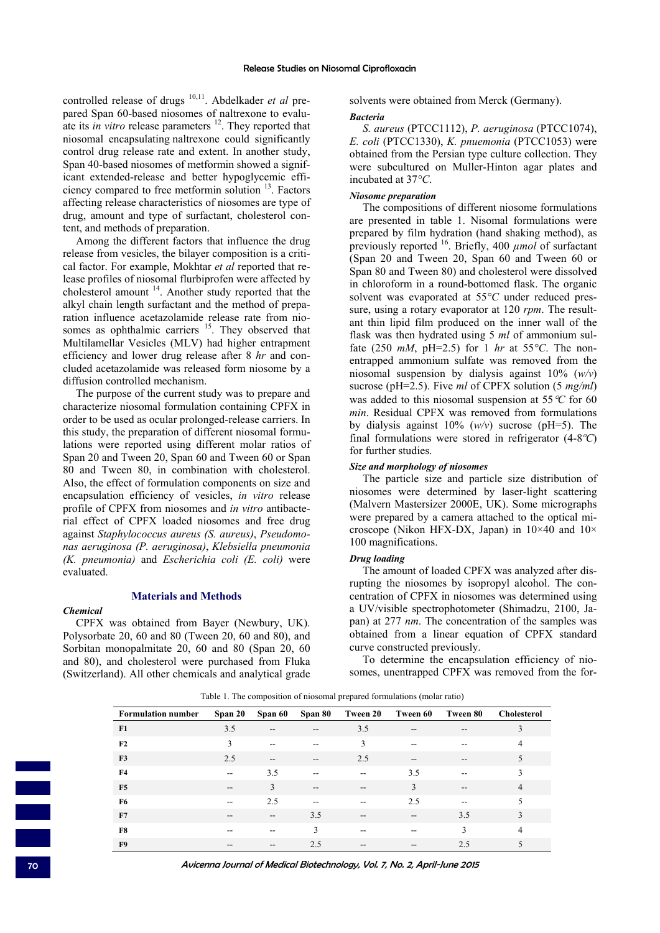controlled release of drugs <sup>10,11</sup>. Abdelkader et al prepared Span 60-based niosomes of naltrexone to evaluate its *in vitro* release parameters <sup>12</sup>. They reported that niosomal encapsulating naltrexone could significantly control drug release rate and extent. In another study, Span 40-based niosomes of metformin showed a significant extended-release and better hypoglycemic efficiency compared to free metformin solution 13. Factors affecting release characteristics of niosomes are type of drug, amount and type of surfactant, cholesterol content, and methods of preparation.

Among the different factors that influence the drug release from vesicles, the bilayer composition is a critical factor. For example, Mokhtar *et al* reported that release profiles of niosomal flurbiprofen were affected by cholesterol amount  $14$ . Another study reported that the alkyl chain length surfactant and the method of preparation influence acetazolamide release rate from niosomes as ophthalmic carriers <sup>15</sup>. They observed that Multilamellar Vesicles (MLV) had higher entrapment efficiency and lower drug release after 8 *hr* and concluded acetazolamide was released form niosome by a diffusion controlled mechanism.

The purpose of the current study was to prepare and characterize niosomal formulation containing CPFX in order to be used as ocular prolonged-release carriers. In this study, the preparation of different niosomal formulations were reported using different molar ratios of Span 20 and Tween 20, Span 60 and Tween 60 or Span 80 and Tween 80, in combination with cholesterol. Also, the effect of formulation components on size and encapsulation efficiency of vesicles, *in vitro* release profile of CPFX from niosomes and *in vitro* antibacterial effect of CPFX loaded niosomes and free drug against *Staphylococcus aureus (S. aureus)*, *Pseudomonas aeruginosa (P. aeruginosa)*, *Klebsiella pneumonia (K. pneumonia)* and *Escherichia coli (E. coli)* were evaluated.

#### **Materials and Methods**

#### *Chemical*

CPFX was obtained from Bayer (Newbury, UK). Polysorbate 20, 60 and 80 (Tween 20, 60 and 80), and Sorbitan monopalmitate 20, 60 and 80 (Span 20, 60 and 80), and cholesterol were purchased from Fluka (Switzerland). All other chemicals and analytical grade solvents were obtained from Merck (Germany). *Bacteria* 

*S. aureus* (PTCC1112), *P. aeruginosa* (PTCC1074), *E. coli* (PTCC1330), *K. pnuemonia* (PTCC1053) were obtained from the Persian type culture collection. They were subcultured on Muller-Hinton agar plates and incubated at 37*°C*.

#### *Niosome preparation*

The compositions of different niosome formulations are presented in table 1. Nisomal formulations were prepared by film hydration (hand shaking method), as previously reported 16. Briefly, 400 *µmol* of surfactant (Span 20 and Tween 20, Span 60 and Tween 60 or Span 80 and Tween 80) and cholesterol were dissolved in chloroform in a round-bottomed flask. The organic solvent was evaporated at 55*°C* under reduced pressure, using a rotary evaporator at 120 *rpm*. The resultant thin lipid film produced on the inner wall of the flask was then hydrated using 5 *ml* of ammonium sulfate (250  $mM$ , pH=2.5) for 1 *hr* at 55<sup>o</sup>C. The nonentrapped ammonium sulfate was removed from the niosomal suspension by dialysis against 10% (*w/v*) sucrose (pH=2.5). Five *ml* of CPFX solution (5 *mg/ml*) was added to this niosomal suspension at 55°*C* for 60 *min*. Residual CPFX was removed from formulations by dialysis against 10% (*w/v*) sucrose (pH=5). The final formulations were stored in refrigerator (4-8*ºC*) for further studies.

## *Size and morphology of niosomes*

The particle size and particle size distribution of niosomes were determined by laser-light scattering (Malvern Mastersizer 2000E, UK). Some micrographs were prepared by a camera attached to the optical microscope (Nikon HFX-DX, Japan) in  $10\times40$  and  $10\times$ 100 magnifications.

#### *Drug loading*

The amount of loaded CPFX was analyzed after disrupting the niosomes by isopropyl alcohol. The concentration of CPFX in niosomes was determined using a UV/visible spectrophotometer (Shimadzu, 2100, Japan) at 277 *nm*. The concentration of the samples was obtained from a linear equation of CPFX standard curve constructed previously.

To determine the encapsulation efficiency of niosomes, unentrapped CPFX was removed from the for-

| <b>Formulation number</b> | Span 20                                             | Span 60                               | Span 80                  | Tween 20                              | Tween 60                                            | Tween 80                                            | <b>Cholesterol</b> |
|---------------------------|-----------------------------------------------------|---------------------------------------|--------------------------|---------------------------------------|-----------------------------------------------------|-----------------------------------------------------|--------------------|
| F1                        | 3.5                                                 | $\hspace{0.05cm}$ – $\hspace{0.05cm}$ | $-$                      | 3.5                                   | $\hspace{0.05cm}$ – $\hspace{0.05cm}$               | $\qquad \qquad -$                                   | 3                  |
| F <sub>2</sub>            | 3                                                   | $\overline{\phantom{a}}$              | $-$                      | 3                                     | $-$                                                 | $- -$                                               | $\overline{4}$     |
| F <sub>3</sub>            | 2.5                                                 | $\overline{\phantom{a}}$              | $-$                      | 2.5                                   | $-$                                                 | $\hspace{0.05cm} -\hspace{0.05cm} -\hspace{0.05cm}$ | 5                  |
| F4                        | $- -$                                               | 3.5                                   | $\overline{\phantom{a}}$ | $\overline{\phantom{a}}$              | 3.5                                                 | $\overline{\phantom{m}}$                            | 3                  |
| F <sub>5</sub>            | $\hspace{0.05cm} -\hspace{0.05cm} -\hspace{0.05cm}$ | 3                                     | $\overline{\phantom{a}}$ | $\hspace{0.05cm}$ - $\hspace{0.05cm}$ | 3                                                   | $\overline{\phantom{a}}$                            | $\overline{4}$     |
| <b>F6</b>                 | $- -$                                               | 2.5                                   | $-$                      | --                                    | 2.5                                                 | $- -$                                               | 5                  |
| F7                        | $-$                                                 | $\hspace{0.05cm}$ – $\hspace{0.05cm}$ | 3.5                      | $\hspace{0.05cm}$ - $\hspace{0.05cm}$ | $\hspace{0.05cm} -\hspace{0.05cm} -\hspace{0.05cm}$ | 3.5                                                 | 3                  |
| F8                        | --                                                  | --                                    | 3                        | $-$                                   | --                                                  | $\mathbf{3}$                                        | $\overline{4}$     |
| F9                        | $\overline{\phantom{m}}$                            | $\qquad \qquad -$                     | 2.5                      | $\hspace{0.05cm}$ - $\hspace{0.05cm}$ | $\hspace{0.05cm}$ – $\hspace{0.05cm}$               | 2.5                                                 | 5                  |

Table 1. The composition of niosomal prepared formulations (molar ratio)

70 Avicenna Journal of Medical Biotechnology, Vol. 7, No. 2, April-June 2015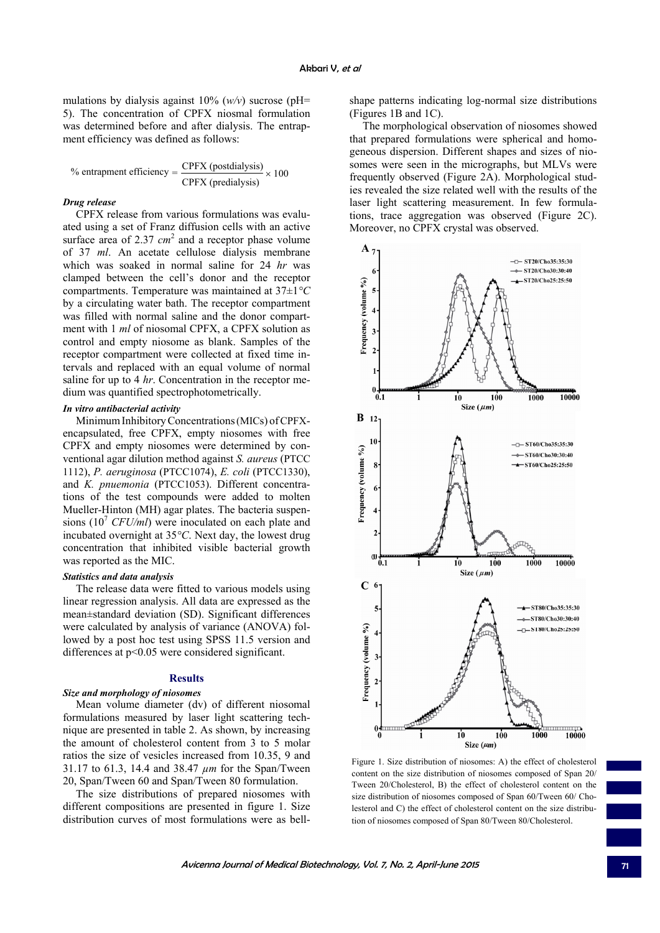mulations by dialysis against 10% (*w/v*) sucrose (pH= 5). The concentration of CPFX niosmal formulation was determined before and after dialysis. The entrapment efficiency was defined as follows:

% entrapment efficiency =  $\frac{\text{CPFX (postdialysis)}}{\text{CPFX (predialysis)}} \times 100$ 

## *Drug release*

CPFX release from various formulations was evaluated using a set of Franz diffusion cells with an active surface area of  $2.37 \text{ cm}^2$  and a receptor phase volume of 37 *ml*. An acetate cellulose dialysis membrane which was soaked in normal saline for 24 *hr* was clamped between the cell's donor and the receptor compartments. Temperature was maintained at 37±1*°C* by a circulating water bath. The receptor compartment was filled with normal saline and the donor compartment with 1 *ml* of niosomal CPFX, a CPFX solution as control and empty niosome as blank. Samples of the receptor compartment were collected at fixed time intervals and replaced with an equal volume of normal saline for up to 4 *hr*. Concentration in the receptor medium was quantified spectrophotometrically.

# *In vitro antibacterial activity*

Minimum Inhibitory Concentrations (MICs) of CPFXencapsulated, free CPFX, empty niosomes with free CPFX and empty niosomes were determined by conventional agar dilution method against *S. aureus* (PTCC 1112), *P. aeruginosa* (PTCC1074), *E. coli* (PTCC1330), and *K. pnuemonia* (PTCC1053). Different concentrations of the test compounds were added to molten Mueller-Hinton (MH) agar plates. The bacteria suspensions  $(10^7 \text{ CFU/ml})$  were inoculated on each plate and incubated overnight at 35*°C*. Next day, the lowest drug concentration that inhibited visible bacterial growth was reported as the MIC.

# *Statistics and data analysis*

The release data were fitted to various models using linear regression analysis. All data are expressed as the mean±standard deviation (SD). Significant differences were calculated by analysis of variance (ANOVA) followed by a post hoc test using SPSS 11.5 version and differences at  $p<0.05$  were considered significant.

#### **Results**

#### *Size and morphology of niosomes*

Mean volume diameter (dv) of different niosomal formulations measured by laser light scattering technique are presented in table 2. As shown, by increasing the amount of cholesterol content from 3 to 5 molar ratios the size of vesicles increased from 10.35, 9 and 31.17 to 61.3, 14.4 and 38.47 *µm* for the Span/Tween 20, Span/Tween 60 and Span/Tween 80 formulation.

The size distributions of prepared niosomes with different compositions are presented in figure 1. Size distribution curves of most formulations were as bellshape patterns indicating log-normal size distributions (Figures 1B and 1C).

The morphological observation of niosomes showed that prepared formulations were spherical and homogeneous dispersion. Different shapes and sizes of niosomes were seen in the micrographs, but MLVs were frequently observed (Figure 2A). Morphological studies revealed the size related well with the results of the laser light scattering measurement. In few formulations, trace aggregation was observed (Figure 2C). Moreover, no CPFX crystal was observed.



Figure 1. Size distribution of niosomes: A) the effect of cholesterol content on the size distribution of niosomes composed of Span 20/ Tween 20/Cholesterol, B) the effect of cholesterol content on the size distribution of niosomes composed of Span 60/Tween 60/ Cholesterol and C) the effect of cholesterol content on the size distribution of niosomes composed of Span 80/Tween 80/Cholesterol.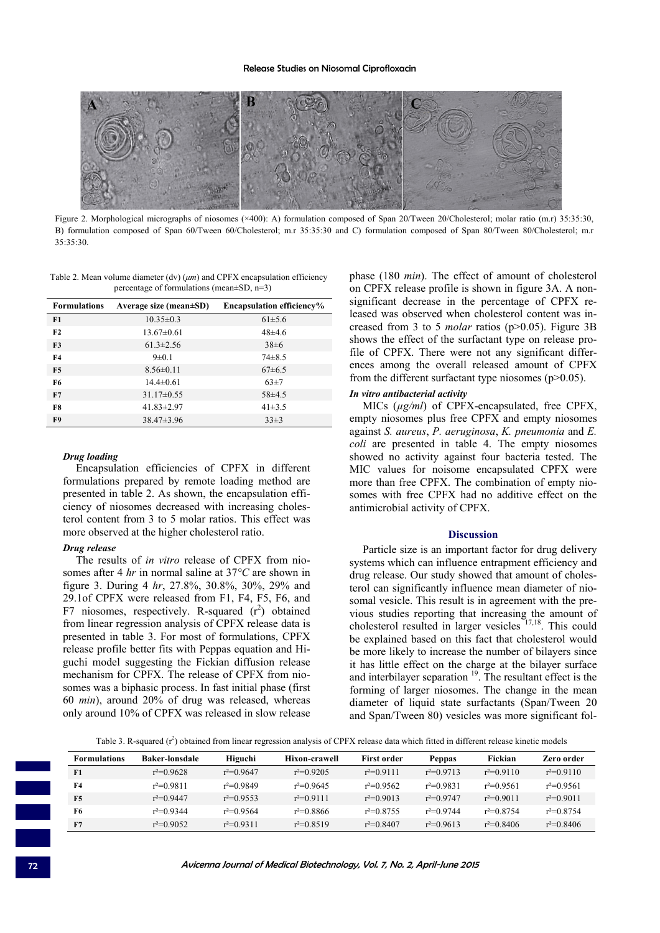#### Release Studies on Niosomal Ciprofloxacin



Figure 2. Morphological micrographs of niosomes (×400): A) formulation composed of Span 20/Tween 20/Cholesterol; molar ratio (m.r) 35:35:30, B) formulation composed of Span 60/Tween 60/Cholesterol; m.r 35:35:30 and C) formulation composed of Span 80/Tween 80/Cholesterol; m.r 35:35:30.

Table 2. Mean volume diameter (dv) (*μm*) and CPFX encapsulation efficiency percentage of formulations (mean±SD, n=3)

| <b>Formulations</b> | Average size (mean $\pm SD$ ) | <b>Encapsulation efficiency%</b> |  |  |
|---------------------|-------------------------------|----------------------------------|--|--|
| F1                  | $10.35 \pm 0.3$               | $61\pm5.6$                       |  |  |
| F2                  | $13.67 \pm 0.61$              | $48+4.6$                         |  |  |
| F3                  | $61.3 \pm 2.56$               | $38\pm6$                         |  |  |
| <b>F4</b>           | $9 \pm 0.1$                   | $74\pm8.5$                       |  |  |
| F5                  | $8.56 \pm 0.11$               | $67\pm6.5$                       |  |  |
| F6                  | $14.4 \pm 0.61$               | $63\pm7$                         |  |  |
| F7                  | $31.17\pm0.55$                | $58\pm4.5$                       |  |  |
| F8                  | $41.83 \pm 2.97$              | $41\pm3.5$                       |  |  |
| F <sub>9</sub>      | $38.47 \pm 3.96$              | $33\pm3$                         |  |  |

#### *Drug loading*

Encapsulation efficiencies of CPFX in different formulations prepared by remote loading method are presented in table 2. As shown, the encapsulation efficiency of niosomes decreased with increasing cholesterol content from 3 to 5 molar ratios. This effect was more observed at the higher cholesterol ratio.

#### *Drug release*

The results of *in vitro* release of CPFX from niosomes after 4 *hr* in normal saline at 37*°C* are shown in figure 3. During 4 *hr*, 27.8%, 30.8%, 30%, 29% and 29.1of CPFX were released from F1, F4, F5, F6, and F7 niosomes, respectively. R-squared  $(r^2)$  obtained from linear regression analysis of CPFX release data is presented in table 3. For most of formulations, CPFX release profile better fits with Peppas equation and Higuchi model suggesting the Fickian diffusion release mechanism for CPFX. The release of CPFX from niosomes was a biphasic process. In fast initial phase (first 60 *min*), around 20% of drug was released, whereas only around 10% of CPFX was released in slow release

phase (180 *min*). The effect of amount of cholesterol on CPFX release profile is shown in figure 3A. A nonsignificant decrease in the percentage of CPFX released was observed when cholesterol content was increased from 3 to 5 *molar* ratios (p>0.05). Figure 3B shows the effect of the surfactant type on release profile of CPFX. There were not any significant differences among the overall released amount of CPFX from the different surfactant type niosomes  $(p>0.05)$ .

#### *In vitro antibacterial activity*

MICs (*µg/ml*) of CPFX-encapsulated, free CPFX, empty niosomes plus free CPFX and empty niosomes against *S. aureus*, *P. aeruginosa*, *K. pneumonia* and *E. coli* are presented in table 4. The empty niosomes showed no activity against four bacteria tested. The MIC values for noisome encapsulated CPFX were more than free CPFX. The combination of empty niosomes with free CPFX had no additive effect on the antimicrobial activity of CPFX.

#### **Discussion**

Particle size is an important factor for drug delivery systems which can influence entrapment efficiency and drug release. Our study showed that amount of cholesterol can significantly influence mean diameter of niosomal vesicle. This result is in agreement with the previous studies reporting that increasing the amount of cholesterol resulted in larger vesicles 17,18. This could be explained based on this fact that cholesterol would be more likely to increase the number of bilayers since it has little effect on the charge at the bilayer surface and interbilayer separation  $19$ . The resultant effect is the forming of larger niosomes. The change in the mean diameter of liquid state surfactants (Span/Tween 20 and Span/Tween 80) vesicles was more significant fol-

Table 3. R-squared  $(r^2)$  obtained from linear regression analysis of CPFX release data which fitted in different release kinetic models

| <b>Formulations</b> | <b>Baker-lonsdale</b> | Higuchi      | Hixon-crawell | First order  | <b>Peppas</b> | Fickian      | Zero order   |
|---------------------|-----------------------|--------------|---------------|--------------|---------------|--------------|--------------|
| F1                  | $r^2=0.9628$          | $r^2=0.9647$ | $r^2=0.9205$  | $r^2=0.9111$ | $r^2=0.9713$  | $r^2=0.9110$ | $r^2=0.9110$ |
| F4                  | $r^2=0.9811$          | $r^2=0.9849$ | $r^2=0.9645$  | $r^2=0.9562$ | $r^2=0.9831$  | $r^2=0.9561$ | $r^2=0.9561$ |
| F <sub>5</sub>      | $r^2=0.9447$          | $r^2=0.9553$ | $r^2=0.9111$  | $r^2=0.9013$ | $r^2=0.9747$  | $r^2=0.9011$ | $r^2=0.9011$ |
| F6                  | $r^2=0.9344$          | $r^2=0.9564$ | $r^2=0.8866$  | $r^2=0.8755$ | $r^2=0.9744$  | $r^2=0.8754$ | $r^2=0.8754$ |
| F7                  | $r^2=0.9052$          | $r^2=0.9311$ | $r^2=0.8519$  | $r^2=0.8407$ | $r^2=0.9613$  | $r^2=0.8406$ | $r^2=0.8406$ |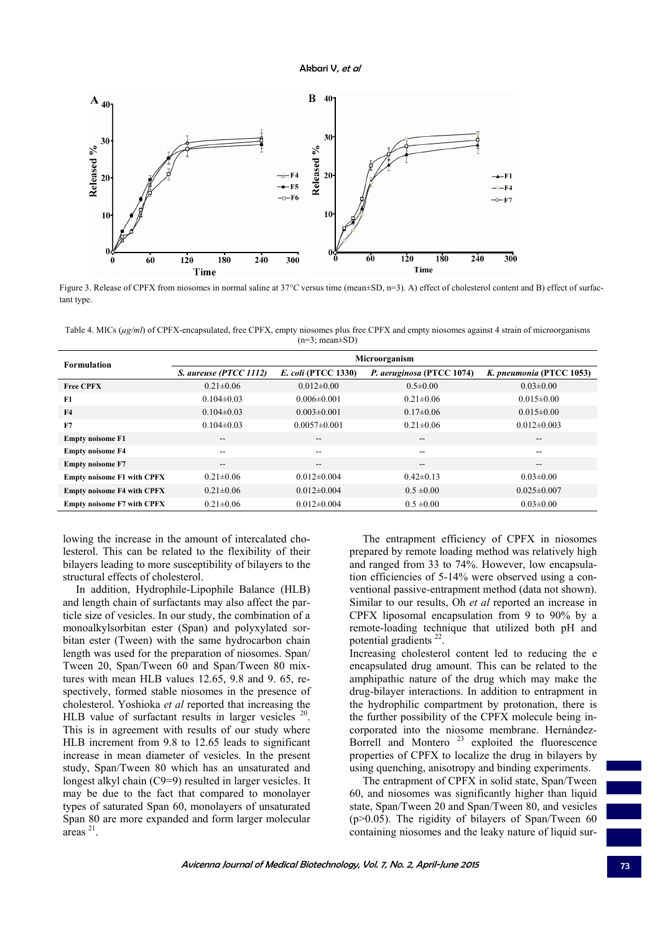Akbari V, et al



Figure 3. Release of CPFX from niosomes in normal saline at 37*°C* versus time (mean±SD, n=3). A) effect of cholesterol content and B) effect of surfactant type.

Table 4. MICs ( $\mu$ g/ml) of CPFX-encapsulated, free CPFX, empty niosomes plus free CPFX and empty niosomes against 4 strain of microorganisms  $(n=3; mean \pm SD)$ 

| <b>Formulation</b>                | Microorganism            |                            |                           |                          |  |  |
|-----------------------------------|--------------------------|----------------------------|---------------------------|--------------------------|--|--|
|                                   | S. aureuse (PTCC 1112)   | <i>E. coli</i> (PTCC 1330) | P. aeruginosa (PTCC 1074) | K. pneumonia (PTCC 1053) |  |  |
| <b>Free CPFX</b>                  | $0.21 \pm 0.06$          | $0.012 \pm 0.00$           | $0.5 \pm 0.00$            | $0.03 \pm 0.00$          |  |  |
| -F1                               | $0.104\pm0.03$           | $0.006 \pm 0.001$          | $0.21 \pm 0.06$           | $0.015 \pm 0.00$         |  |  |
| <b>F4</b>                         | $0.104 \pm 0.03$         | $0.003 \pm 0.001$          | $0.17 \pm 0.06$           | $0.015 \pm 0.00$         |  |  |
| F7                                | $0.104 \pm 0.03$         | $0.0057\pm0.001$           | $0.21 \pm 0.06$           | $0.012\pm0.003$          |  |  |
| <b>Empty noisome F1</b>           | $\overline{\phantom{m}}$ | --                         | --                        | $\overline{\phantom{m}}$ |  |  |
| <b>Empty noisome F4</b>           | $\overline{\phantom{m}}$ | --                         | $\overline{\phantom{a}}$  | $- -$                    |  |  |
| <b>Empty noisome F7</b>           | $\overline{\phantom{m}}$ | --                         | $\overline{\phantom{a}}$  | $\overline{\phantom{m}}$ |  |  |
| <b>Empty noisome F1 with CPFX</b> | $0.21 \pm 0.06$          | $0.012 \pm 0.004$          | $0.42\pm0.13$             | $0.03 \pm 0.00$          |  |  |
| <b>Empty noisome F4 with CPFX</b> | $0.21 \pm 0.06$          | $0.012 \pm 0.004$          | $0.5 \pm 0.00$            | $0.025 \pm 0.007$        |  |  |
| <b>Empty noisome F7 with CPFX</b> | $0.21 \pm 0.06$          | $0.012 \pm 0.004$          | $0.5 \pm 0.00$            | $0.03 \pm 0.00$          |  |  |

lowing the increase in the amount of intercalated cholesterol. This can be related to the flexibility of their bilayers leading to more susceptibility of bilayers to the structural effects of cholesterol.

In addition, Hydrophile-Lipophile Balance (HLB) and length chain of surfactants may also affect the particle size of vesicles. In our study, the combination of a monoalkylsorbitan ester (Span) and polyxylated sorbitan ester (Tween) with the same hydrocarbon chain length was used for the preparation of niosomes. Span/ Tween 20, Span/Tween 60 and Span/Tween 80 mixtures with mean HLB values 12.65, 9.8 and 9. 65, respectively, formed stable niosomes in the presence of cholesterol. Yoshioka *et al* reported that increasing the HLB value of surfactant results in larger vesicles  $20$ . This is in agreement with results of our study where HLB increment from 9.8 to 12.65 leads to significant increase in mean diameter of vesicles. In the present study, Span/Tween 80 which has an unsaturated and longest alkyl chain (C9=9) resulted in larger vesicles. It may be due to the fact that compared to monolayer types of saturated Span 60, monolayers of unsaturated Span 80 are more expanded and form larger molecular areas 21.

The entrapment efficiency of CPFX in niosomes prepared by remote loading method was relatively high and ranged from 33 to 74%. However, low encapsulation efficiencies of 5-14% were observed using a conventional passive-entrapment method (data not shown). Similar to our results, Oh *et al* reported an increase in CPFX liposomal encapsulation from 9 to 90% by a remote-loading technique that utilized both pH and potential gradients<sup>22</sup>.

Increasing cholesterol content led to reducing the e encapsulated drug amount. This can be related to the amphipathic nature of the drug which may make the drug-bilayer interactions. In addition to entrapment in the hydrophilic compartment by protonation, there is the further possibility of the CPFX molecule being incorporated into the niosome membrane. Hernández-Borrell and Montero  $23$  exploited the fluorescence properties of CPFX to localize the drug in bilayers by using quenching, anisotropy and binding experiments.

The entrapment of CPFX in solid state, Span/Tween 60, and niosomes was significantly higher than liquid state, Span/Tween 20 and Span/Tween 80, and vesicles  $(p>0.05)$ . The rigidity of bilayers of Span/Tween 60 containing niosomes and the leaky nature of liquid sur-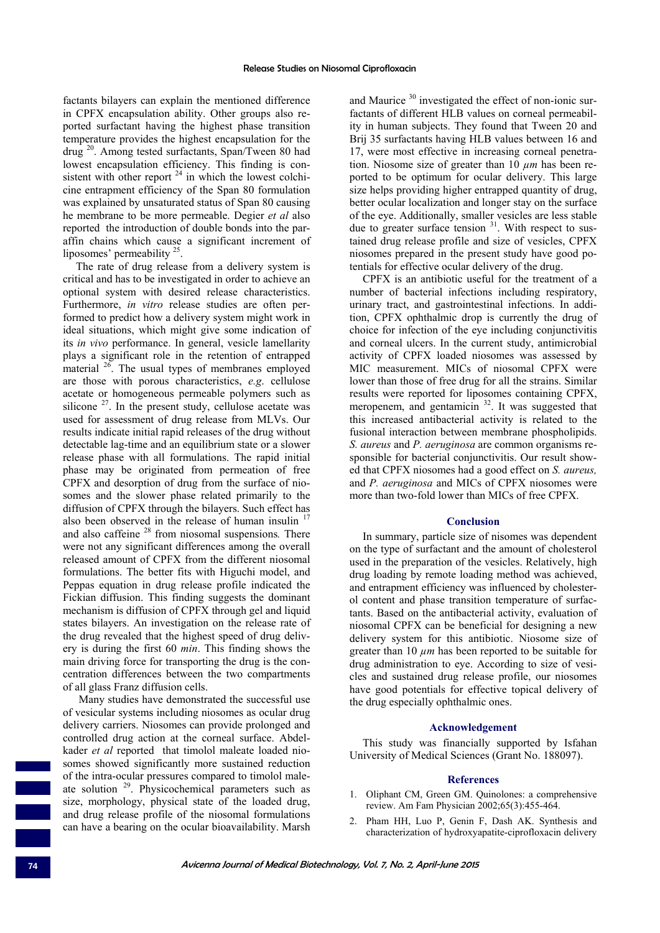factants bilayers can explain the mentioned difference in CPFX encapsulation ability. Other groups also reported surfactant having the highest phase transition temperature provides the highest encapsulation for the drug 20. Among tested surfactants, Span/Tween 80 had lowest encapsulation efficiency. This finding is consistent with other report  $24$  in which the lowest colchicine entrapment efficiency of the Span 80 formulation was explained by unsaturated status of Span 80 causing he membrane to be more permeable. Degier *et al* also reported the introduction of double bonds into the paraffin chains which cause a significant increment of liposomes' permeability 25.

The rate of drug release from a delivery system is critical and has to be investigated in order to achieve an optional system with desired release characteristics. Furthermore, *in vitro* release studies are often performed to predict how a delivery system might work in ideal situations, which might give some indication of its *in vivo* performance. In general, vesicle lamellarity plays a significant role in the retention of entrapped material <sup>26</sup>. The usual types of membranes employed are those with porous characteristics, *e.g*. cellulose acetate or homogeneous permeable polymers such as silicone  $27$ . In the present study, cellulose acetate was used for assessment of drug release from MLVs. Our results indicate initial rapid releases of the drug without detectable lag-time and an equilibrium state or a slower release phase with all formulations. The rapid initial phase may be originated from permeation of free CPFX and desorption of drug from the surface of niosomes and the slower phase related primarily to the diffusion of CPFX through the bilayers. Such effect has also been observed in the release of human insulin  $17$ and also caffeine 28 from niosomal suspensions*.* There were not any significant differences among the overall released amount of CPFX from the different niosomal formulations. The better fits with Higuchi model, and Peppas equation in drug release profile indicated the Fickian diffusion. This finding suggests the dominant mechanism is diffusion of CPFX through gel and liquid states bilayers. An investigation on the release rate of the drug revealed that the highest speed of drug delivery is during the first 60 *min*. This finding shows the main driving force for transporting the drug is the concentration differences between the two compartments of all glass Franz diffusion cells.

 Many studies have demonstrated the successful use of vesicular systems including niosomes as ocular drug delivery carriers. Niosomes can provide prolonged and controlled drug action at the corneal surface. Abdelkader *et al* reported that timolol maleate loaded niosomes showed significantly more sustained reduction of the intra-ocular pressures compared to timolol maleate solution 29. Physicochemical parameters such as size, morphology, physical state of the loaded drug, and drug release profile of the niosomal formulations can have a bearing on the ocular bioavailability. Marsh

and Maurice <sup>30</sup> investigated the effect of non-ionic surfactants of different HLB values on corneal permeability in human subjects. They found that Tween 20 and Brij 35 surfactants having HLB values between 16 and 17, were most effective in increasing corneal penetration. Niosome size of greater than 10 *µm* has been reported to be optimum for ocular delivery. This large size helps providing higher entrapped quantity of drug, better ocular localization and longer stay on the surface of the eye. Additionally, smaller vesicles are less stable due to greater surface tension  $31$ . With respect to sustained drug release profile and size of vesicles, CPFX niosomes prepared in the present study have good potentials for effective ocular delivery of the drug.

CPFX is an antibiotic useful for the treatment of a number of bacterial infections including respiratory, urinary tract, and gastrointestinal infections. In addition, CPFX ophthalmic drop is currently the drug of choice for infection of the eye including conjunctivitis and corneal ulcers. In the current study, antimicrobial activity of CPFX loaded niosomes was assessed by MIC measurement. MICs of niosomal CPFX were lower than those of free drug for all the strains. Similar results were reported for liposomes containing CPFX, meropenem, and gentamicin <sup>32</sup>. It was suggested that this increased antibacterial activity is related to the fusional interaction between membrane phospholipids. *S. aureus* and *P. aeruginosa* are common organisms responsible for bacterial conjunctivitis. Our result showed that CPFX niosomes had a good effect on *S. aureus,*  and *P. aeruginosa* and MICs of CPFX niosomes were more than two-fold lower than MICs of free CPFX.

#### **Conclusion**

In summary, particle size of nisomes was dependent on the type of surfactant and the amount of cholesterol used in the preparation of the vesicles. Relatively, high drug loading by remote loading method was achieved, and entrapment efficiency was influenced by cholesterol content and phase transition temperature of surfactants. Based on the antibacterial activity, evaluation of niosomal CPFX can be beneficial for designing a new delivery system for this antibiotic. Niosome size of greater than 10 *µm* has been reported to be suitable for drug administration to eye. According to size of vesicles and sustained drug release profile, our niosomes have good potentials for effective topical delivery of the drug especially ophthalmic ones.

#### **Acknowledgement**

This study was financially supported by Isfahan University of Medical Sciences (Grant No. 188097).

## **References**

- 1. Oliphant CM, Green GM. Quinolones: a comprehensive review. Am Fam Physician 2002;65(3):455-464.
- 2. Pham HH, Luo P, Genin F, Dash AK. Synthesis and characterization of hydroxyapatite-ciprofloxacin delivery